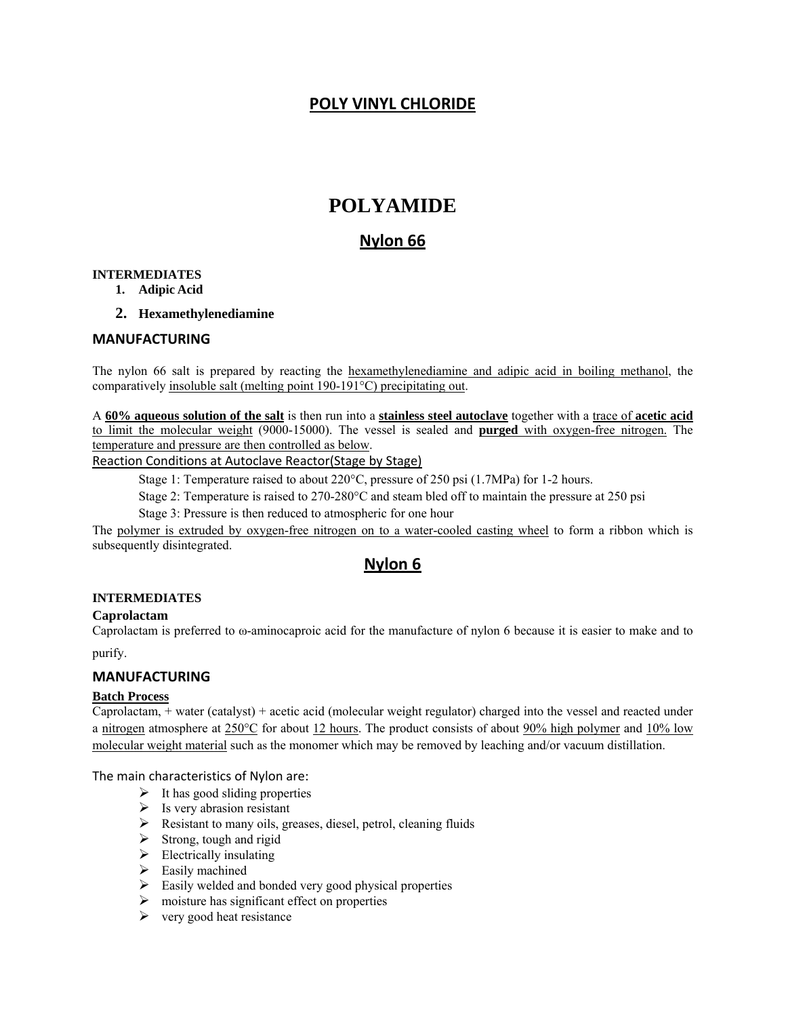## **POLY VINYL CHLORIDE**

## **POLYAMIDE**

## **Nylon 66**

#### **INTERMEDIATES**

- **1. Adipic Acid**
- **2. Hexamethylenediamine**

#### **MANUFACTURING**

The nylon 66 salt is prepared by reacting the hexamethylenediamine and adipic acid in boiling methanol, the comparatively insoluble salt (melting point 190-191°C) precipitating out.

A **60% aqueous solution of the salt** is then run into a **stainless steel autoclave** together with a trace of **acetic acid** to limit the molecular weight (9000-15000). The vessel is sealed and **purged** with oxygen-free nitrogen. The temperature and pressure are then controlled as below.

#### Reaction Conditions at Autoclave Reactor(Stage by Stage)

Stage 1: Temperature raised to about 220°C, pressure of 250 psi (1.7MPa) for 1-2 hours.

Stage 2: Temperature is raised to 270-280°C and steam bled off to maintain the pressure at 250 psi

Stage 3: Pressure is then reduced to atmospheric for one hour

The polymer is extruded by oxygen-free nitrogen on to a water-cooled casting wheel to form a ribbon which is subsequently disintegrated.

## **Nylon 6**

#### **INTERMEDIATES**

#### **Caprolactam**

Caprolactam is preferred to ω-aminocaproic acid for the manufacture of nylon 6 because it is easier to make and to

purify.

#### **MANUFACTURING**

#### **Batch Process**

Caprolactam, + water (catalyst) + acetic acid (molecular weight regulator) charged into the vessel and reacted under a nitrogen atmosphere at 250°C for about 12 hours. The product consists of about 90% high polymer and 10% low molecular weight material such as the monomer which may be removed by leaching and/or vacuum distillation.

The main characteristics of Nylon are:

- $\triangleright$  It has good sliding properties
- $\triangleright$  Is very abrasion resistant
- $\triangleright$  Resistant to many oils, greases, diesel, petrol, cleaning fluids
- $\triangleright$  Strong, tough and rigid
- $\triangleright$  Electrically insulating
- $\triangleright$  Easily machined
- $\triangleright$  Easily welded and bonded very good physical properties
- $\triangleright$  moisture has significant effect on properties
- $\triangleright$  very good heat resistance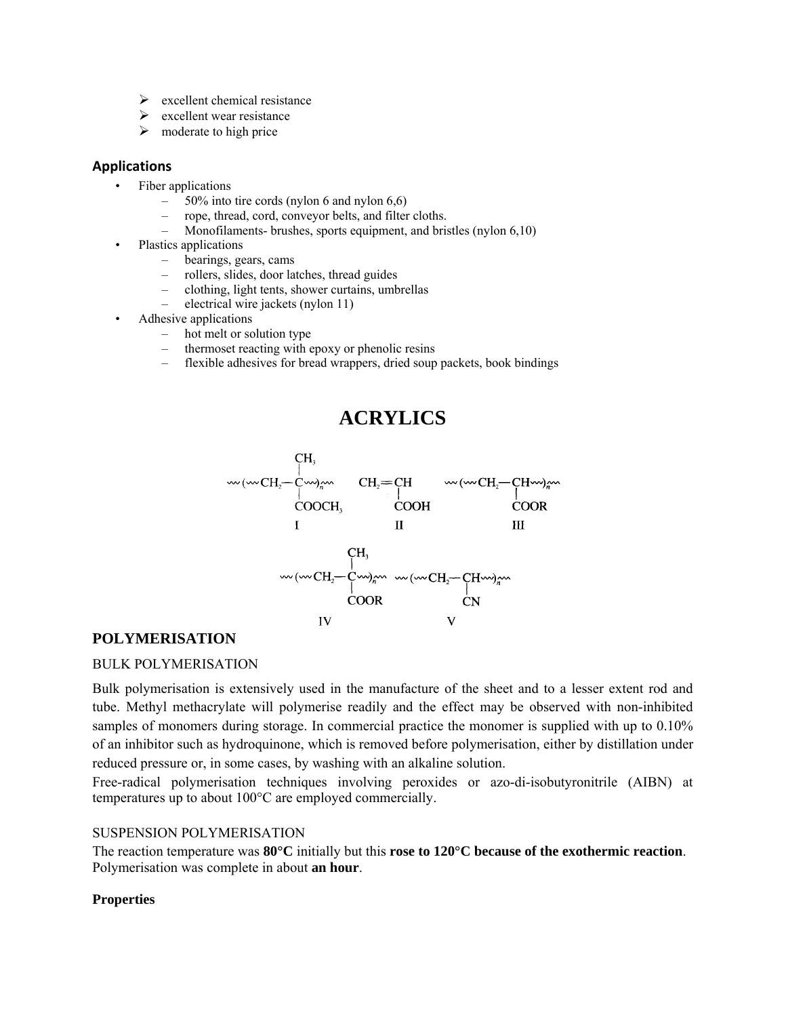- $\triangleright$  excellent chemical resistance
- $\triangleright$  excellent wear resistance
- $\triangleright$  moderate to high price

#### **Applications**

- Fiber applications
	- $-$  50% into tire cords (nylon 6 and nylon 6,6)
	- rope, thread, cord, conveyor belts, and filter cloths.
	- Monofilaments- brushes, sports equipment, and bristles (nylon 6,10)
- Plastics applications
	- bearings, gears, cams
	- rollers, slides, door latches, thread guides
	- clothing, light tents, shower curtains, umbrellas
	- electrical wire jackets (nylon 11)
- Adhesive applications
	- hot melt or solution type
	- thermoset reacting with epoxy or phenolic resins
	- flexible adhesives for bread wrappers, dried soup packets, book bindings

# **ACRYLICS**



## **POLYMERISATION**

### BULK POLYMERISATION

Bulk polymerisation is extensively used in the manufacture of the sheet and to a lesser extent rod and tube. Methyl methacrylate will polymerise readily and the effect may be observed with non-inhibited samples of monomers during storage. In commercial practice the monomer is supplied with up to 0.10% of an inhibitor such as hydroquinone, which is removed before polymerisation, either by distillation under reduced pressure or, in some cases, by washing with an alkaline solution.

Free-radical polymerisation techniques involving peroxides or azo-di-isobutyronitrile (AIBN) at temperatures up to about 100°C are employed commercially.

#### SUSPENSION POLYMERISATION

The reaction temperature was **80°C** initially but this **rose to 120°C because of the exothermic reaction**. Polymerisation was complete in about **an hour**.

### **Properties**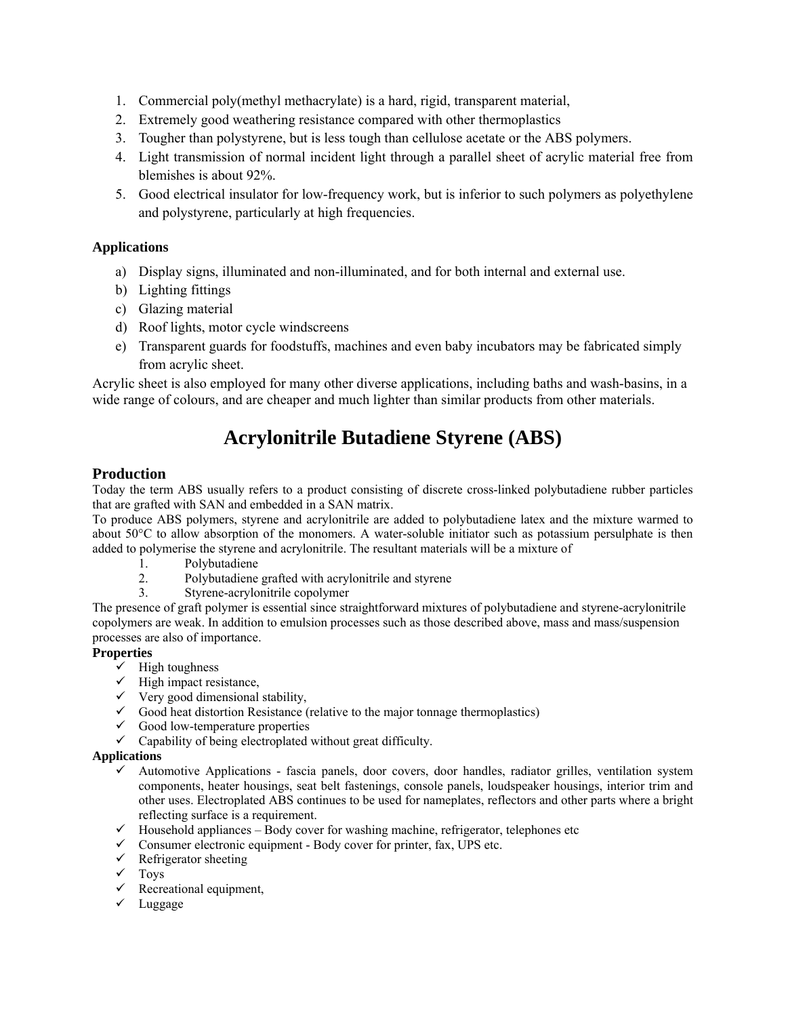- 1. Commercial poly(methyl methacrylate) is a hard, rigid, transparent material,
- 2. Extremely good weathering resistance compared with other thermoplastics
- 3. Tougher than polystyrene, but is less tough than cellulose acetate or the ABS polymers.
- 4. Light transmission of normal incident light through a parallel sheet of acrylic material free from blemishes is about 92%.
- 5. Good electrical insulator for low-frequency work, but is inferior to such polymers as polyethylene and polystyrene, particularly at high frequencies.

#### **Applications**

- a) Display signs, illuminated and non-illuminated, and for both internal and external use.
- b) Lighting fittings
- c) Glazing material
- d) Roof lights, motor cycle windscreens
- e) Transparent guards for foodstuffs, machines and even baby incubators may be fabricated simply from acrylic sheet.

Acrylic sheet is also employed for many other diverse applications, including baths and wash-basins, in a wide range of colours, and are cheaper and much lighter than similar products from other materials.

# **Acrylonitrile Butadiene Styrene (ABS)**

#### **Production**

Today the term ABS usually refers to a product consisting of discrete cross-linked polybutadiene rubber particles that are grafted with SAN and embedded in a SAN matrix.

To produce ABS polymers, styrene and acrylonitrile are added to polybutadiene latex and the mixture warmed to about 50°C to allow absorption of the monomers. A water-soluble initiator such as potassium persulphate is then added to polymerise the styrene and acrylonitrile. The resultant materials will be a mixture of

- 1. Polybutadiene
- 2. Polybutadiene grafted with acrylonitrile and styrene
- 3. Styrene-acrylonitrile copolymer

The presence of graft polymer is essential since straightforward mixtures of polybutadiene and styrene-acrylonitrile copolymers are weak. In addition to emulsion processes such as those described above, mass and mass/suspension processes are also of importance.

#### **Properties**

- $\checkmark$  High toughness
- $\checkmark$  High impact resistance,
- $\checkmark$  Very good dimensional stability,
- $\checkmark$  Good heat distortion Resistance (relative to the major tonnage thermoplastics)
- $\checkmark$  Good low-temperature properties
- $\checkmark$  Capability of being electroplated without great difficulty.

#### **Applications**

- $\checkmark$  Automotive Applications fascia panels, door covers, door handles, radiator grilles, ventilation system components, heater housings, seat belt fastenings, console panels, loudspeaker housings, interior trim and other uses. Electroplated ABS continues to be used for nameplates, reflectors and other parts where a bright reflecting surface is a requirement.
- $\checkmark$  Household appliances Body cover for washing machine, refrigerator, telephones etc
- $\checkmark$  Consumer electronic equipment Body cover for printer, fax, UPS etc.
- $\checkmark$  Refrigerator sheeting
- $\sqrt{\ }$  Toys
- $\checkmark$  Recreational equipment,
- $\checkmark$  Luggage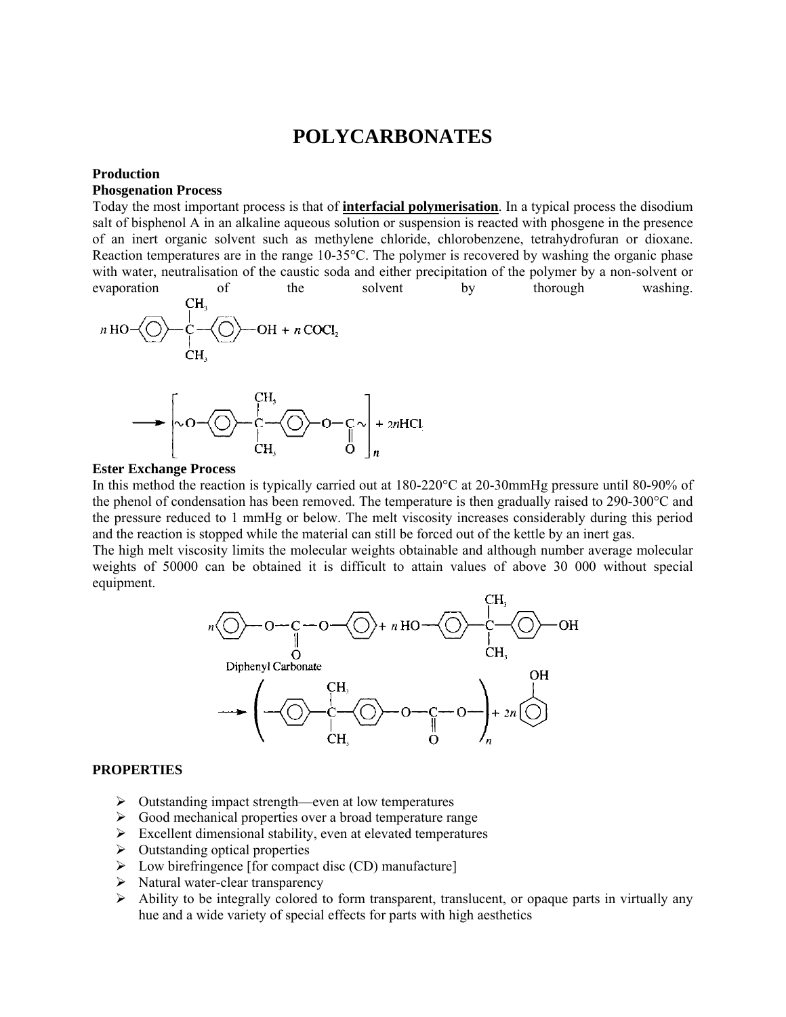## **POLYCARBONATES**

#### **Production**

#### **Phosgenation Process**

Today the most important process is that of **interfacial polymerisation**. In a typical process the disodium salt of bisphenol A in an alkaline aqueous solution or suspension is reacted with phosgene in the presence of an inert organic solvent such as methylene chloride, chlorobenzene, tetrahydrofuran or dioxane. Reaction temperatures are in the range 10-35°C. The polymer is recovered by washing the organic phase with water, neutralisation of the caustic soda and either precipitation of the polymer by a non-solvent or evaporation of the solvent by thorough washing.





#### **Ester Exchange Process**

In this method the reaction is typically carried out at 180-220°C at 20-30mmHg pressure until 80-90% of the phenol of condensation has been removed. The temperature is then gradually raised to 290-300°C and the pressure reduced to 1 mmHg or below. The melt viscosity increases considerably during this period and the reaction is stopped while the material can still be forced out of the kettle by an inert gas.

The high melt viscosity limits the molecular weights obtainable and although number average molecular weights of 50000 can be obtained it is difficult to attain values of above 30 000 without special equipment.



#### **PROPERTIES**

- $\triangleright$  Outstanding impact strength—even at low temperatures
- $\triangleright$  Good mechanical properties over a broad temperature range
- $\triangleright$  Excellent dimensional stability, even at elevated temperatures
- $\triangleright$  Outstanding optical properties
- $\triangleright$  Low birefringence [for compact disc (CD) manufacture]
- $\triangleright$  Natural water-clear transparency
- $\triangleright$  Ability to be integrally colored to form transparent, translucent, or opaque parts in virtually any hue and a wide variety of special effects for parts with high aesthetics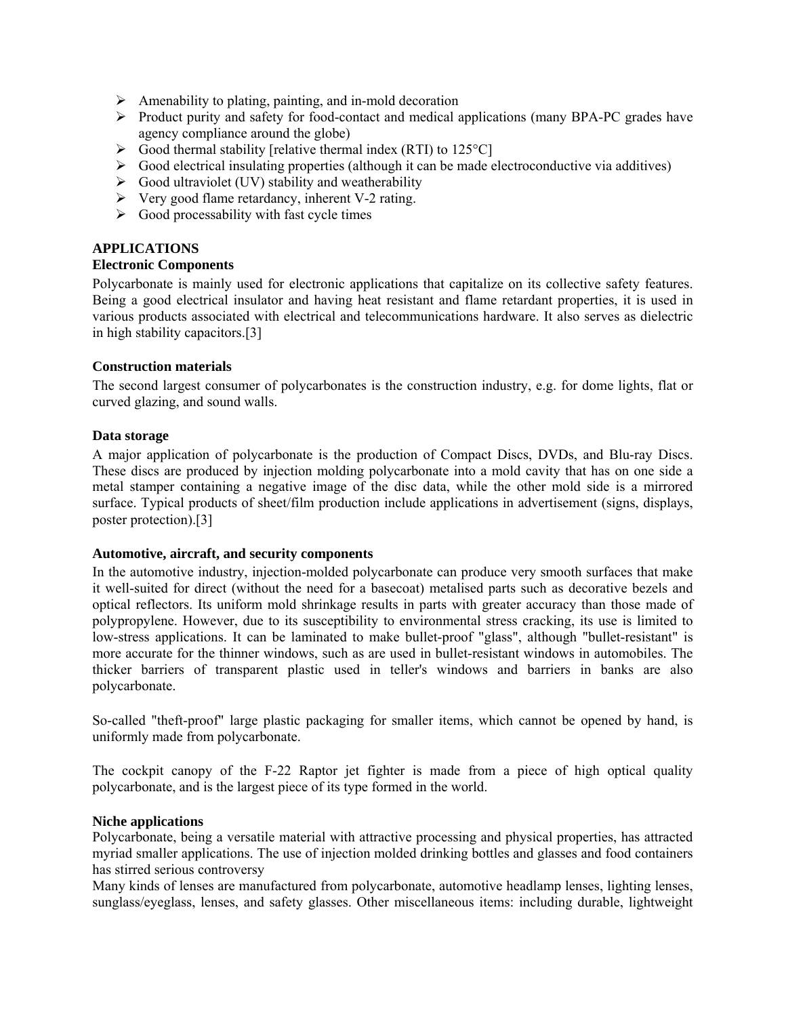- $\triangleright$  Amenability to plating, painting, and in-mold decoration
- ¾ Product purity and safety for food-contact and medical applications (many BPA-PC grades have agency compliance around the globe)
- $\triangleright$  Good thermal stability [relative thermal index (RTI) to 125 °C]
- $\triangleright$  Good electrical insulating properties (although it can be made electroconductive via additives)
- $\triangleright$  Good ultraviolet (UV) stability and weatherability
- $\triangleright$  Very good flame retardancy, inherent V-2 rating.
- $\triangleright$  Good processability with fast cycle times

#### **APPLICATIONS**

#### **Electronic Components**

Polycarbonate is mainly used for electronic applications that capitalize on its collective safety features. Being a good electrical insulator and having heat resistant and flame retardant properties, it is used in various products associated with electrical and telecommunications hardware. It also serves as dielectric in high stability capacitors.[3]

#### **Construction materials**

The second largest consumer of polycarbonates is the construction industry, e.g. for dome lights, flat or curved glazing, and sound walls.

#### **Data storage**

A major application of polycarbonate is the production of Compact Discs, DVDs, and Blu-ray Discs. These discs are produced by injection molding polycarbonate into a mold cavity that has on one side a metal stamper containing a negative image of the disc data, while the other mold side is a mirrored surface. Typical products of sheet/film production include applications in advertisement (signs, displays, poster protection).[3]

#### **Automotive, aircraft, and security components**

In the automotive industry, injection-molded polycarbonate can produce very smooth surfaces that make it well-suited for direct (without the need for a basecoat) metalised parts such as decorative bezels and optical reflectors. Its uniform mold shrinkage results in parts with greater accuracy than those made of polypropylene. However, due to its susceptibility to environmental stress cracking, its use is limited to low-stress applications. It can be laminated to make bullet-proof "glass", although "bullet-resistant" is more accurate for the thinner windows, such as are used in bullet-resistant windows in automobiles. The thicker barriers of transparent plastic used in teller's windows and barriers in banks are also polycarbonate.

So-called "theft-proof" large plastic packaging for smaller items, which cannot be opened by hand, is uniformly made from polycarbonate.

The cockpit canopy of the F-22 Raptor jet fighter is made from a piece of high optical quality polycarbonate, and is the largest piece of its type formed in the world.

#### **Niche applications**

Polycarbonate, being a versatile material with attractive processing and physical properties, has attracted myriad smaller applications. The use of injection molded drinking bottles and glasses and food containers has stirred serious controversy

Many kinds of lenses are manufactured from polycarbonate, automotive headlamp lenses, lighting lenses, sunglass/eyeglass, lenses, and safety glasses. Other miscellaneous items: including durable, lightweight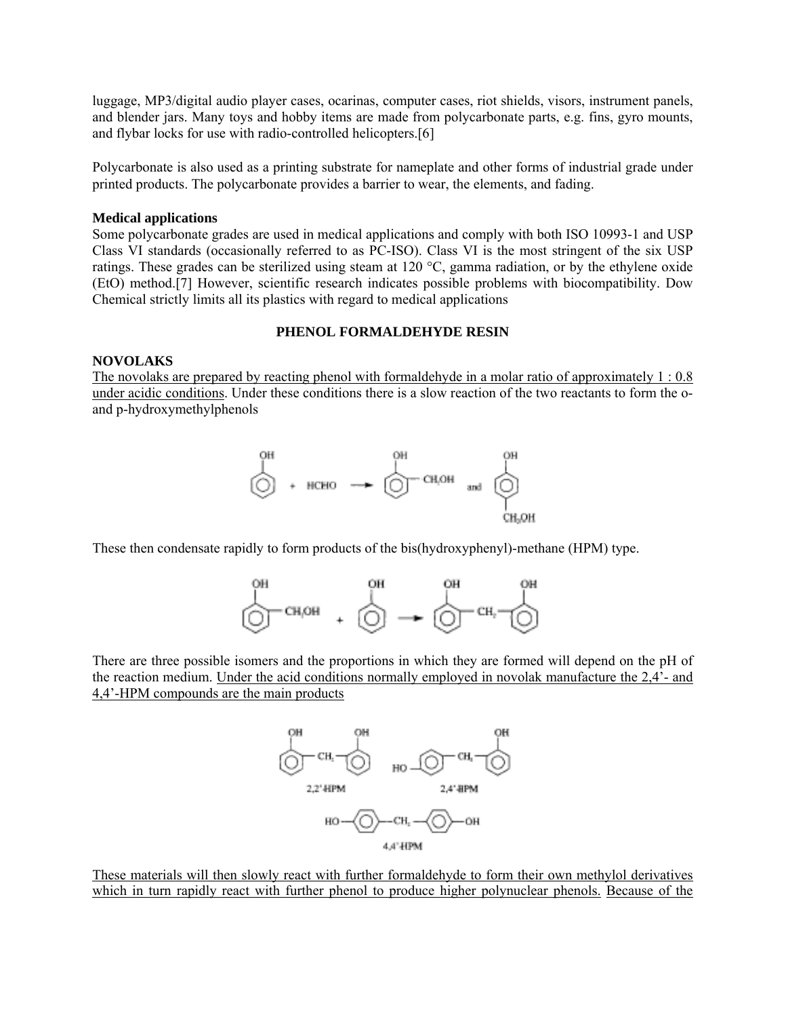luggage, MP3/digital audio player cases, ocarinas, computer cases, riot shields, visors, instrument panels, and blender jars. Many toys and hobby items are made from polycarbonate parts, e.g. fins, gyro mounts, and flybar locks for use with radio-controlled helicopters.[6]

Polycarbonate is also used as a printing substrate for nameplate and other forms of industrial grade under printed products. The polycarbonate provides a barrier to wear, the elements, and fading.

#### **Medical applications**

Some polycarbonate grades are used in medical applications and comply with both ISO 10993-1 and USP Class VI standards (occasionally referred to as PC-ISO). Class VI is the most stringent of the six USP ratings. These grades can be sterilized using steam at 120 °C, gamma radiation, or by the ethylene oxide (EtO) method.[7] However, scientific research indicates possible problems with biocompatibility. Dow Chemical strictly limits all its plastics with regard to medical applications

#### **PHENOL FORMALDEHYDE RESIN**

#### **NOVOLAKS**

The novolaks are prepared by reacting phenol with formaldehyde in a molar ratio of approximately 1 : 0.8 under acidic conditions. Under these conditions there is a slow reaction of the two reactants to form the oand p-hydroxymethylphenols



These then condensate rapidly to form products of the bis(hydroxyphenyl)-methane (HPM) type.



There are three possible isomers and the proportions in which they are formed will depend on the pH of the reaction medium. Under the acid conditions normally employed in novolak manufacture the 2,4'- and 4,4'-HPM compounds are the main products



These materials will then slowly react with further formaldehyde to form their own methylol derivatives which in turn rapidly react with further phenol to produce higher polynuclear phenols. Because of the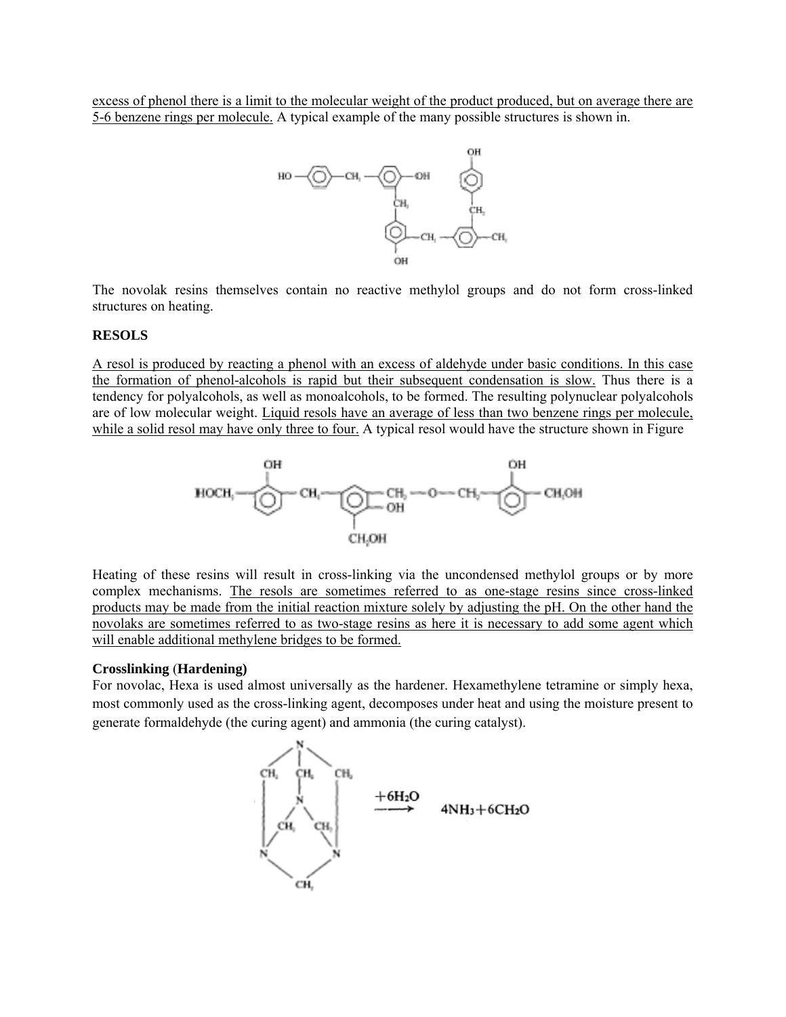excess of phenol there is a limit to the molecular weight of the product produced, but on average there are 5-6 benzene rings per molecule. A typical example of the many possible structures is shown in.



The novolak resins themselves contain no reactive methylol groups and do not form cross-linked structures on heating.

#### **RESOLS**

A resol is produced by reacting a phenol with an excess of aldehyde under basic conditions. In this case the formation of phenol-alcohols is rapid but their subsequent condensation is slow. Thus there is a tendency for polyalcohols, as well as monoalcohols, to be formed. The resulting polynuclear polyalcohols are of low molecular weight. Liquid resols have an average of less than two benzene rings per molecule, while a solid resol may have only three to four. A typical resol would have the structure shown in Figure



Heating of these resins will result in cross-linking via the uncondensed methylol groups or by more complex mechanisms. The resols are sometimes referred to as one-stage resins since cross-linked products may be made from the initial reaction mixture solely by adjusting the pH. On the other hand the novolaks are sometimes referred to as two-stage resins as here it is necessary to add some agent which will enable additional methylene bridges to be formed.

#### **Crosslinking** (**Hardening)**

For novolac, Hexa is used almost universally as the hardener. Hexamethylene tetramine or simply hexa, most commonly used as the cross-linking agent, decomposes under heat and using the moisture present to generate formaldehyde (the curing agent) and ammonia (the curing catalyst).

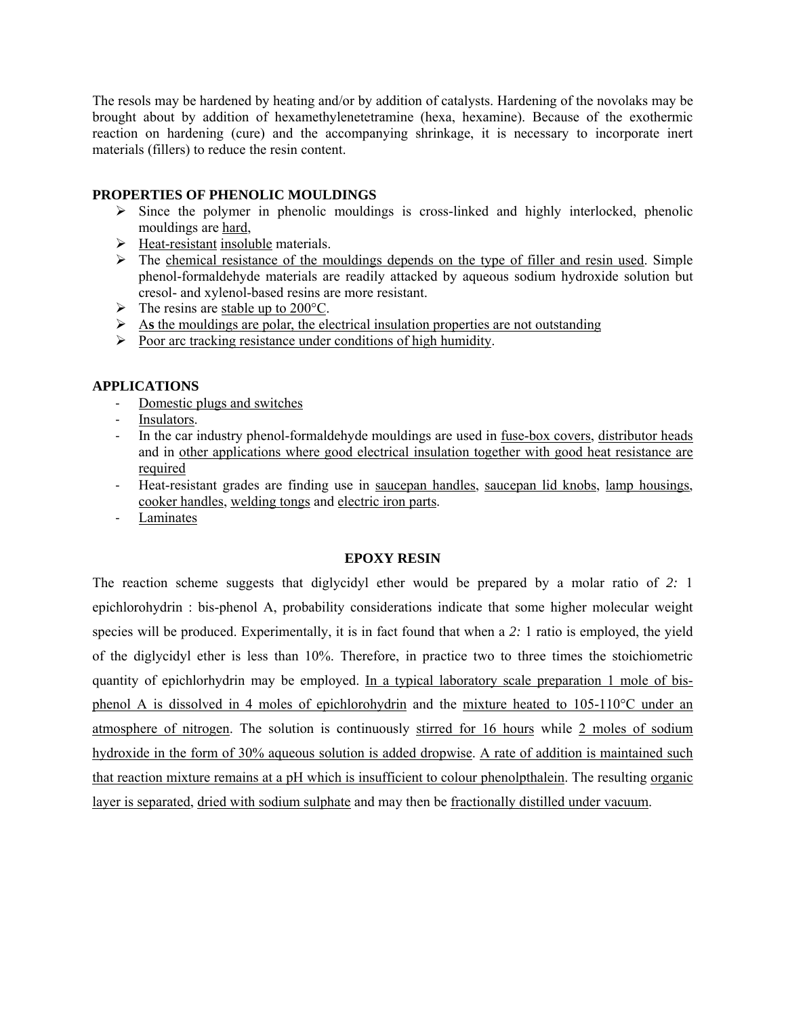The resols may be hardened by heating and/or by addition of catalysts. Hardening of the novolaks may be brought about by addition of hexamethylenetetramine (hexa, hexamine). Because of the exothermic reaction on hardening (cure) and the accompanying shrinkage, it is necessary to incorporate inert materials (fillers) to reduce the resin content.

#### **PROPERTIES OF PHENOLIC MOULDINGS**

- $\triangleright$  Since the polymer in phenolic mouldings is cross-linked and highly interlocked, phenolic mouldings are hard,
- $\triangleright$  Heat-resistant insoluble materials.
- $\triangleright$  The chemical resistance of the mouldings depends on the type of filler and resin used. Simple phenol-formaldehyde materials are readily attacked by aqueous sodium hydroxide solution but cresol- and xylenol-based resins are more resistant.
- $\triangleright$  The resins are stable up to 200°C.
- ¾ A**s** the mouldings are polar, the electrical insulation properties are not outstanding
- $\triangleright$  Poor arc tracking resistance under conditions of high humidity.

#### **APPLICATIONS**

- ‐ Domestic plugs and switches
- Insulators.
- ‐ In the car industry phenol-formaldehyde mouldings are used in fuse-box covers, distributor heads and in other applications where good electrical insulation together with good heat resistance are required
- ‐ Heat-resistant grades are finding use in saucepan handles, saucepan lid knobs, lamp housings, cooker handles, welding tongs and electric iron parts.
- ‐ Laminates

#### **EPOXY RESIN**

The reaction scheme suggests that diglycidyl ether would be prepared by a molar ratio of *2:* 1 epichlorohydrin : bis-phenol A, probability considerations indicate that some higher molecular weight species will be produced. Experimentally, it is in fact found that when a *2:* 1 ratio is employed, the yield of the diglycidyl ether is less than 10%. Therefore, in practice two to three times the stoichiometric quantity of epichlorhydrin may be employed. In a typical laboratory scale preparation 1 mole of bisphenol A is dissolved in 4 moles of epichlorohydrin and the mixture heated to 105-110°C under an atmosphere of nitrogen. The solution is continuously stirred for 16 hours while 2 moles of sodium hydroxide in the form of 30% aqueous solution is added dropwise. A rate of addition is maintained such that reaction mixture remains at a pH which is insufficient to colour phenolpthalein. The resulting organic layer is separated, dried with sodium sulphate and may then be fractionally distilled under vacuum.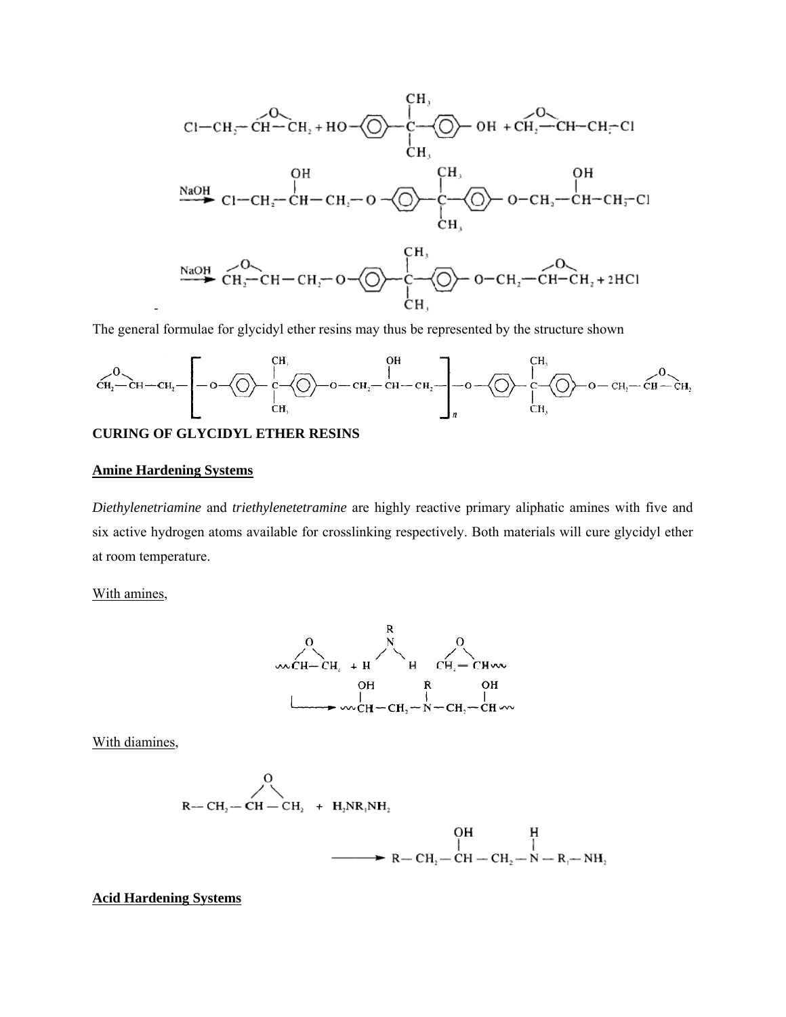

The general formulae for glycidyl ether resins may thus be represented by the structure shown



#### **CURING OF GLYCIDYL ETHER RESINS**

#### **Amine Hardening Systems**

*Diethylenetriamine* and *triethylenetetramine* are highly reactive primary aliphatic amines with five and six active hydrogen atoms available for crosslinking respectively. Both materials will cure glycidyl ether at room temperature.

With amines,



With diamines,

$$
R-CH_2-CH-CH_2 + H_2NR_1NH_2
$$
  
\n
$$
OH H
$$
  
\n
$$
P-CH_2-CH_2-CH-CH_2-N-R_1-MH_2
$$
  
\n
$$
P-CH_1-CH_2-N-R_1-NH_2
$$

#### **Acid Hardening Systems**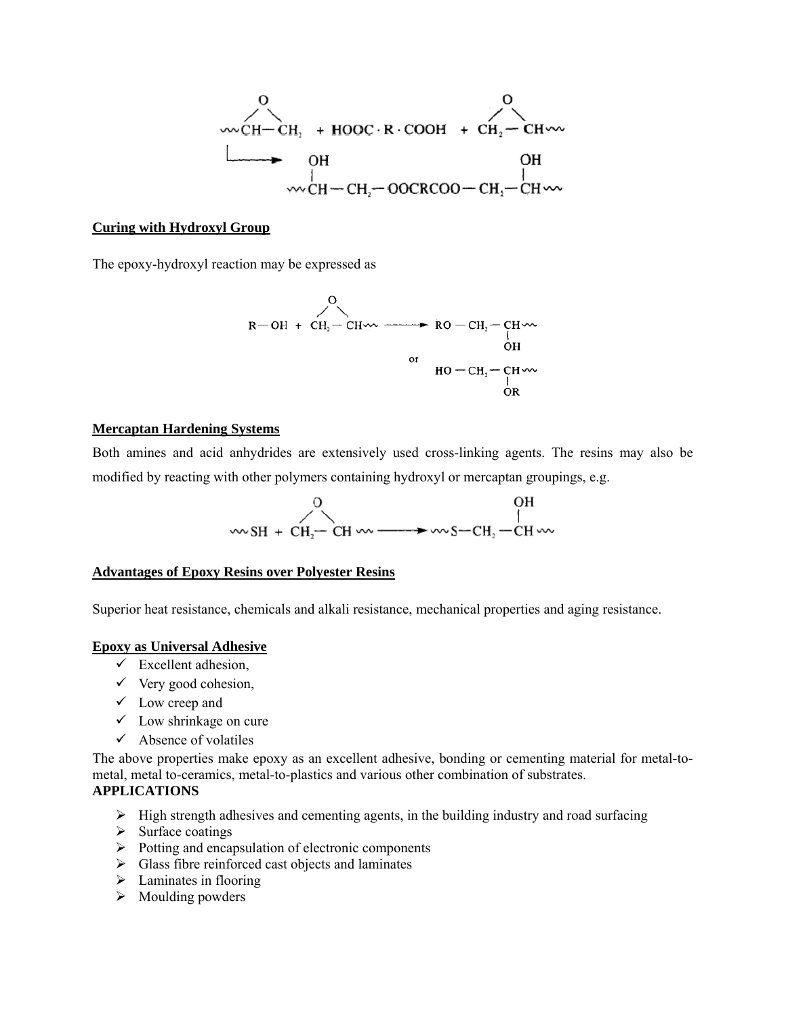$$
\begin{array}{c}\n&0\\
\hline\n\text{C}-\text{CH}_{1} + \text{HOOC} \cdot \text{R} \cdot \text{COOH} + \text{CH}_{2}-\text{CH} \cdot \text{C} \\
\hline\n\text{OH} & \text{OH} \\
& \text{W} \cdot \text{CH}-\text{CH}_{2}-\text{OOCRCOO}-\text{CH}_{2}-\text{CH} \cdot \text{C} \\
\end{array}
$$

#### **Curing with Hydroxyl Group**

The epoxy-hydroxyl reaction may be expressed as

$$
R-OH + CH2-CH2 + CO-CH2-CH2
$$
  
or  

$$
HO-CH2-CH2
$$
  
or  

$$
HO-CH2-CH2
$$
  
or  

$$
OCH2-CH2
$$

#### **Mercaptan Hardening Systems**

Both amines and acid anhydrides are extensively used cross-linking agents. The resins may also be modified by reacting with other polymers containing hydroxyl or mercaptan groupings, e.g.



#### **Advantages of Epoxy Resins over Polyester Resins**

Superior heat resistance, chemicals and alkali resistance, mechanical properties and aging resistance.

#### **Epoxy as Universal Adhesive**

- $\checkmark$  Excellent adhesion,
- $\checkmark$  Very good cohesion,
- $\checkmark$  Low creep and
- $\checkmark$  Low shrinkage on cure
- $\checkmark$  Absence of volatiles

The above properties make epoxy as an excellent adhesive, bonding or cementing material for metal-tometal, metal to-ceramics, metal-to-plastics and various other combination of substrates.

### **APPLICATIONS**

- $\triangleright$  High strength adhesives and cementing agents, in the building industry and road surfacing
- $\triangleright$  Surface coatings
- $\triangleright$  Potting and encapsulation of electronic components
- $\triangleright$  Glass fibre reinforced cast objects and laminates
- $\blacktriangleright$  Laminates in flooring
- $\triangleright$  Moulding powders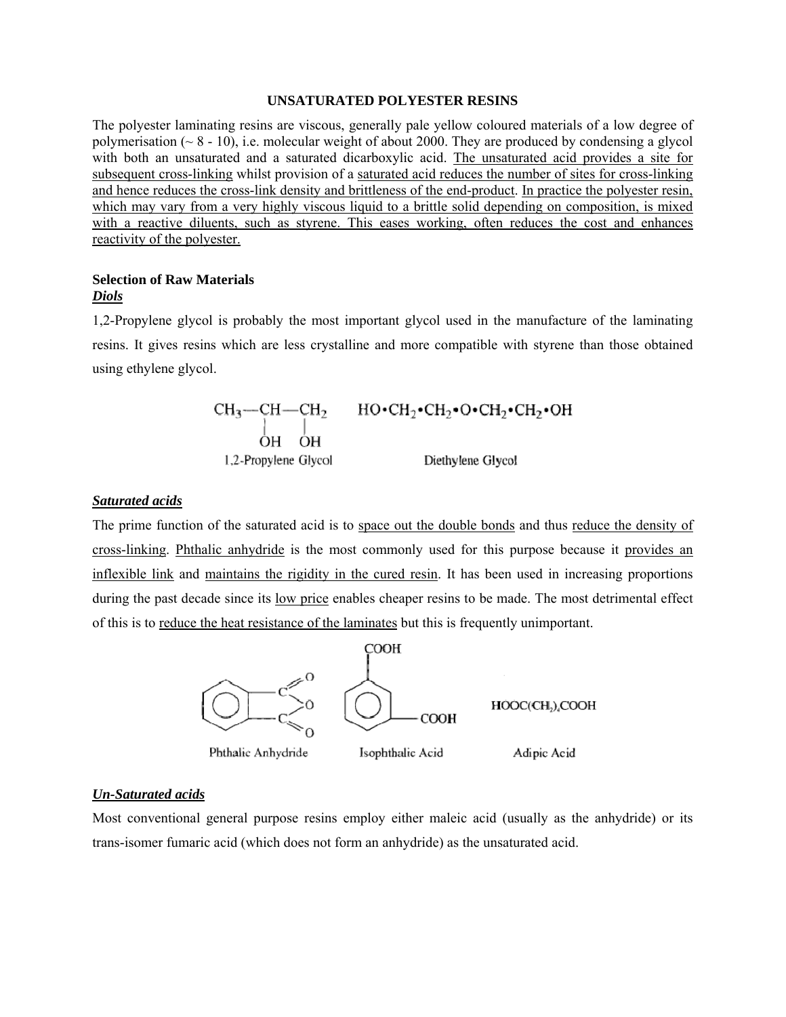#### **UNSATURATED POLYESTER RESINS**

The polyester laminating resins are viscous, generally pale yellow coloured materials of a low degree of polymerisation ( $\sim$  8 - 10), i.e. molecular weight of about 2000. They are produced by condensing a glycol with both an unsaturated and a saturated dicarboxylic acid. The unsaturated acid provides a site for subsequent cross-linking whilst provision of a saturated acid reduces the number of sites for cross-linking and hence reduces the cross-link density and brittleness of the end-product. In practice the polyester resin, which may vary from a very highly viscous liquid to a brittle solid depending on composition, is mixed with a reactive diluents, such as styrene. This eases working, often reduces the cost and enhances reactivity of the polyester.

#### **Selection of Raw Materials**  *Diols*

1,2-Propylene glycol is probably the most important glycol used in the manufacture of the laminating resins. It gives resins which are less crystalline and more compatible with styrene than those obtained using ethylene glycol.

> $\text{CH}_3\text{---CH}\text{---CH}_2 \qquad \text{HO} \text{-}\text{CH}_2\text{-}\text{CH}_2\text{-}\text{OH}_2\text{-}\text{CH}_2\text{-}\text{OH}$ 1,2-Propylene Glycol Diethylene Glycol

#### *Saturated acids*

The prime function of the saturated acid is to space out the double bonds and thus reduce the density of cross-linking. Phthalic anhydride is the most commonly used for this purpose because it provides an inflexible link and maintains the rigidity in the cured resin. It has been used in increasing proportions during the past decade since its <u>low price</u> enables cheaper resins to be made. The most detrimental effect of this is to reduce the heat resistance of the laminates but this is frequently unimportant.



#### *Un-Saturated acids*

Most conventional general purpose resins employ either maleic acid (usually as the anhydride) or its trans-isomer fumaric acid (which does not form an anhydride) as the unsaturated acid.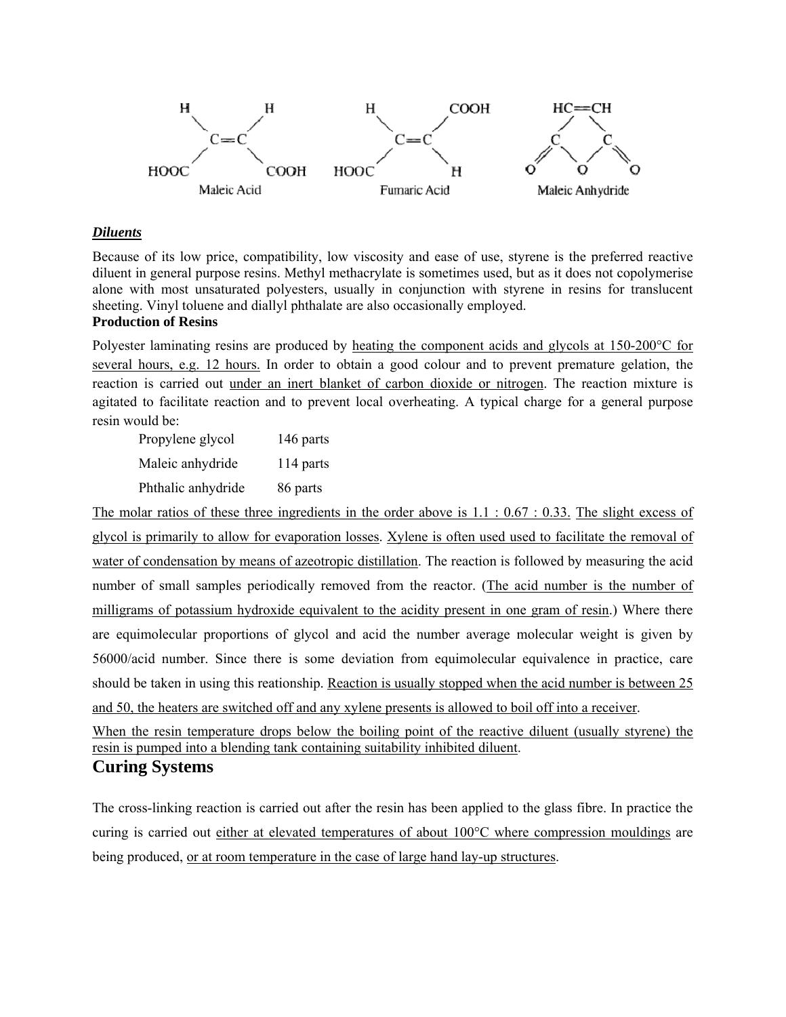

#### *Diluents*

Because of its low price, compatibility, low viscosity and ease of use, styrene is the preferred reactive diluent in general purpose resins. Methyl methacrylate is sometimes used, but as it does not copolymerise alone with most unsaturated polyesters, usually in conjunction with styrene in resins for translucent sheeting. Vinyl toluene and diallyl phthalate are also occasionally employed.

## **Production of Resins**

Polyester laminating resins are produced by heating the component acids and glycols at 150-200°C for several hours, e.g. 12 hours. In order to obtain a good colour and to prevent premature gelation, the reaction is carried out under an inert blanket of carbon dioxide or nitrogen. The reaction mixture is agitated to facilitate reaction and to prevent local overheating. A typical charge for a general purpose resin would be:

 Propylene glycol 146 parts Maleic anhydride 114 parts Phthalic anhydride 86 parts

The molar ratios of these three ingredients in the order above is 1.1 : 0.67 : 0.33. The slight excess of glycol is primarily to allow for evaporation losses. Xylene is often used used to facilitate the removal of water of condensation by means of azeotropic distillation. The reaction is followed by measuring the acid number of small samples periodically removed from the reactor. (The acid number is the number of milligrams of potassium hydroxide equivalent to the acidity present in one gram of resin.) Where there are equimolecular proportions of glycol and acid the number average molecular weight is given by 56000/acid number. Since there is some deviation from equimolecular equivalence in practice, care should be taken in using this reationship. Reaction is usually stopped when the acid number is between 25 and 50, the heaters are switched off and any xylene presents is allowed to boil off into a receiver.

When the resin temperature drops below the boiling point of the reactive diluent (usually styrene) the resin is pumped into a blending tank containing suitability inhibited diluent. **Curing Systems**

## The cross-linking reaction is carried out after the resin has been applied to the glass fibre. In practice the curing is carried out either at elevated temperatures of about 100°C where compression mouldings are being produced, or at room temperature in the case of large hand lay-up structures.